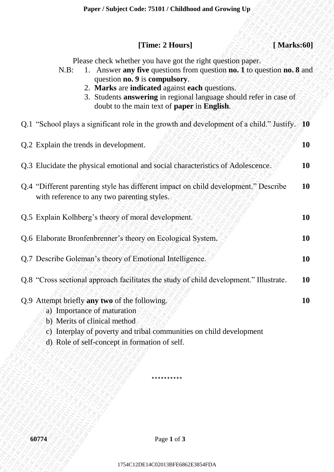|  |  | [Time: 2 Hours] |  |
|--|--|-----------------|--|
|--|--|-----------------|--|

| [Marks:60]<br>[Time: 2 Hours]                                                                                                                                                                                                                                                                                                                                           |           |
|-------------------------------------------------------------------------------------------------------------------------------------------------------------------------------------------------------------------------------------------------------------------------------------------------------------------------------------------------------------------------|-----------|
| Please check whether you have got the right question paper.<br>1. Answer any five questions from question no. 1 to question no. 8 and<br>$N.B$ :<br>question no. 9 is compulsory.<br>2. Marks are indicated against each questions.<br>3. Students answering in regional language should refer in case of<br>doubt to the main text of <b>paper</b> in <b>English</b> . |           |
| Q.1 "School plays a significant role in the growth and development of a child." Justify. 10                                                                                                                                                                                                                                                                             |           |
| Q.2 Explain the trends in development.                                                                                                                                                                                                                                                                                                                                  | 10        |
| Q.3 Elucidate the physical emotional and social characteristics of Adolescence.                                                                                                                                                                                                                                                                                         | 10        |
| Q.4 "Different parenting style has different impact on child development." Describe<br>with reference to any two parenting styles.                                                                                                                                                                                                                                      | <b>10</b> |
| Q.5 Explain Kolhberg's theory of moral development.                                                                                                                                                                                                                                                                                                                     | <b>10</b> |
| Q.6 Elaborate Bronfenbrenner's theory on Ecological System.                                                                                                                                                                                                                                                                                                             | <b>10</b> |
| Q.7 Describe Goleman's theory of Emotional Intelligence.                                                                                                                                                                                                                                                                                                                | <b>10</b> |
| Q.8 "Cross sectional approach facilitates the study of child development." Illustrate.                                                                                                                                                                                                                                                                                  | <b>10</b> |
| Q.9 Attempt briefly any two of the following.<br>a) Importance of maturation<br>b) Merits of clinical method<br>c) Interplay of poverty and tribal communities on child development<br>d) Role of self-concept in formation of self.                                                                                                                                    | 10        |
|                                                                                                                                                                                                                                                                                                                                                                         |           |
| 60774<br>Page 1 of 3                                                                                                                                                                                                                                                                                                                                                    |           |
| 1754C12DE14C02013BFE6862E3854FDA                                                                                                                                                                                                                                                                                                                                        |           |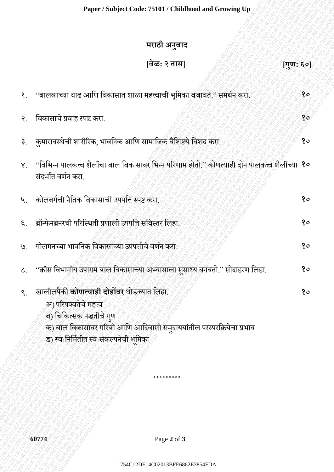## **मराठी अनुवाद**

|                             | मराठी अनुवाद                                                                                                                                                                                                              |    |
|-----------------------------|---------------------------------------------------------------------------------------------------------------------------------------------------------------------------------------------------------------------------|----|
|                             | वेळ: २ तास <br>[गुण: ६०]                                                                                                                                                                                                  |    |
|                             | १. ''बालकाच्या वाढ आणि विकासात शाळा महत्त्वाची भूमिका बजावते.'' समर्थन करा.                                                                                                                                               | 80 |
| $\mathcal{S}_{\mathcal{A}}$ | विकासाचे प्रवाह स्पष्ट करा.                                                                                                                                                                                               | १० |
|                             | ३. कुमारावस्थेची शारीरिक, भावनिक आणि सामाजिक वैशिष्टये विशद करा.                                                                                                                                                          | १० |
| $X_{1}$                     | ''विभिन्न पालकत्त्व शैलींचा बाल विकासावर भिन्न परिणाम होतो.'' कोणत्याही दोन पालकत्त्व शैलींच्या <b>१०</b><br>संदर्भात वर्णन करा.                                                                                          |    |
| ५.                          | कोलबर्गची नैतिक विकासाची उपपत्ति स्पष्ट करा.                                                                                                                                                                              | १० |
| ६.                          | ब्रॉन्फेनब्रेनरची परिस्थिती प्रणाली उपपत्ति सविस्तर लिहा.                                                                                                                                                                 | १० |
| 9.                          | गोलमनच्या भावनिक विकासाच्या उपपत्तीचे वर्णन करा.                                                                                                                                                                          | 80 |
| $\mathcal{L}_{\text{+}}$    | ''क्रॉस विभागीय उपागम बाल विकासाच्या अभ्यासाला सुसाध्य बनवतो.'' सोदाहरण लिहा.                                                                                                                                             | १० |
| ९.                          | खालीलपैकी <b>कोणत्याही दोहोंवर</b> थोडक्यात लिहा.<br>अ) परिपक्वतेचे महत्त्व<br>ब) चिकित्सक पद्धतीचे गुण<br>क) बाल विकासावर गरिबी आणि आदिवासी समुदाययांतील परस्परक्रियेचा प्रभाव<br>ड) स्वःनिर्मितीत स्वःसंकल्पनेची भूमिका | १० |
|                             |                                                                                                                                                                                                                           |    |
|                             | Page 2 of 3<br>60774                                                                                                                                                                                                      |    |
|                             | 1754C12DE14C02013BFE6862E3854FDA                                                                                                                                                                                          |    |